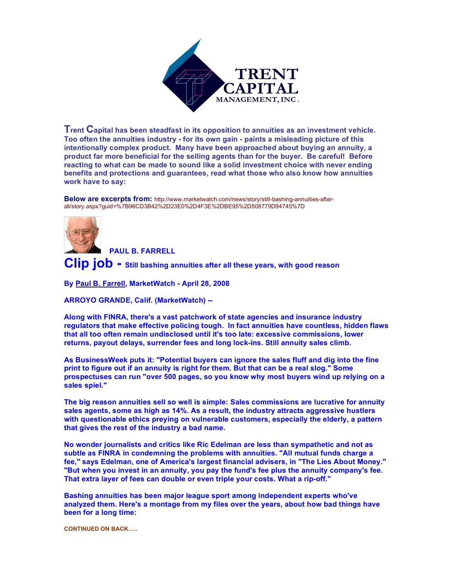

**Trent Capital has been steadfast in its opposition to annuities as an investment vehicle. Too often the annuities industry - for its own gain - paints a misleading picture of this intentionally complex product. Many have been approached about buying an annuity, a product far more beneficial for the selling agents than for the buyer. Be careful! Before reacting to what can be made to sound like a solid investment choice with never ending benefits and protections and guarantees, read what those who also know how annuities work have to say:** 

**Below are excerpts from:** http://www.marketwatch.com/news/story/still-bashing-annuities-afterall/story.aspx?guid=%7B96CD3B42%2D23E0%2D4F3E%2DBE95%2D508779D94745%7D

 **PAUL B. FARRELL**

**Clip job - Still bashing annuities after all these years, with good reason**

**By Paul B. Farrell, MarketWatch - April 28, 2008**

**ARROYO GRANDE, Calif. (MarketWatch) --**

**Along with FINRA, there's a vast patchwork of state agencies and insurance industry regulators that make effective policing tough. In fact annuities have countless, hidden flaws that all too often remain undisclosed until it's too late: excessive commissions, lower returns, payout delays, surrender fees and long lock-ins. Still annuity sales climb.**

**As BusinessWeek puts it: "Potential buyers can ignore the sales fluff and dig into the fine print to figure out if an annuity is right for them. But that can be a real slog." Some prospectuses can run "over 500 pages, so you know why most buyers wind up relying on a sales spiel."**

**The big reason annuities sell so well is simple: Sales commissions are lucrative for annuity sales agents, some as high as 14%. As a result, the industry attracts aggressive hustlers with questionable ethics preying on vulnerable customers, especially the elderly, a pattern that gives the rest of the industry a bad name.** 

**No wonder journalists and critics like Ric Edelman are less than sympathetic and not as subtle as FINRA in condemning the problems with annuities. "All mutual funds charge a fee," says Edelman, one of America's largest financial advisers, in "The Lies About Money." "But when you invest in an annuity, you pay the fund's fee plus the annuity company's fee. That extra layer of fees can double or even triple your costs. What a rip-off."**

**Bashing annuities has been major league sport among independent experts who've analyzed them. Here's a montage from my files over the years, about how bad things have been for a long time:** 

**CONTINUED ON BACK…..**